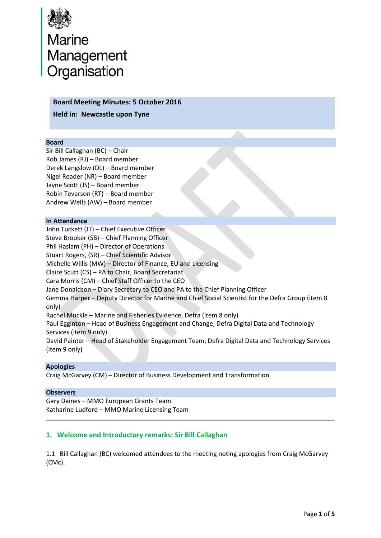

# Marine<br>Management<br>Organisation

## **Board Meeting Minutes: 5 October 2016**

**Held in: Newcastle upon Tyne** 

#### **Board**

Sir Bill Callaghan (BC) – Chair Rob James (RJ) – Board member Derek Langslow (DL) – Board member Nigel Reader (NR) – Board member Jayne Scott (JS) – Board member Robin Teverson (RT) – Board member Andrew Wells (AW) – Board member

#### **In Attendance**

John Tuckett (JT) – Chief Executive Officer Steve Brooker (SB) – Chief Planning Officer Phil Haslam (PH) – Director of Operations Stuart Rogers, (SR) – Chief Scientific Advisor Michelle Willis (MW) – Director of Finance, EU and Licensing Claire Scutt (CS) – PA to Chair, Board Secretariat Cara Morris (CM) – Chief Staff Officer to the CEO Jane Donaldson – Diary Secretary to CEO and PA to the Chief Planning Officer Gemma Harper – Deputy Director for Marine and Chief Social Scientist for the Defra Group (item 8 only) Rachel Muckle – Marine and Fisheries Evidence, Defra (item 8 only) Paul Egginton – Head of Business Engagement and Change, Defra Digital Data and Technology Services (item 9 only) David Painter – Head of Stakeholder Engagement Team, Defra Digital Data and Technology Services (item 9 only)

## **Apologies**

Craig McGarvey (CM) – Director of Business Development and Transformation

### **Observers**

Gary Daines – MMO European Grants Team Katharine Ludford – MMO Marine Licensing Team

# **1. Welcome and Introductory remarks: Sir Bill Callaghan**

1.1 Bill Callaghan (BC) welcomed attendees to the meeting noting apologies from Craig McGarvey (CMc).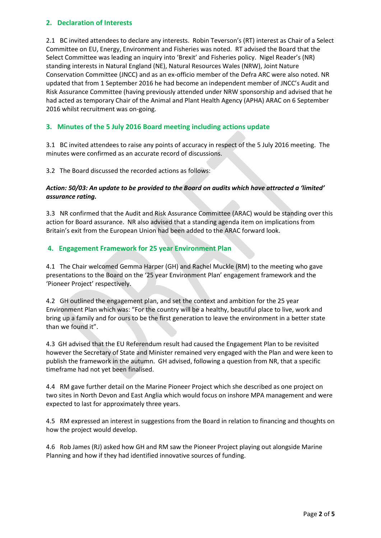# **2. Declaration of Interests**

2.1 BC invited attendees to declare any interests. Robin Teverson's (RT) interest as Chair of a Select Committee on EU, Energy, Environment and Fisheries was noted. RT advised the Board that the Select Committee was leading an inquiry into 'Brexit' and Fisheries policy. Nigel Reader's (NR) standing interests in Natural England (NE), Natural Resources Wales (NRW), Joint Nature Conservation Committee (JNCC) and as an ex-officio member of the Defra ARC were also noted. NR updated that from 1 September 2016 he had become an independent member of JNCC's Audit and Risk Assurance Committee (having previously attended under NRW sponsorship and advised that he had acted as temporary Chair of the Animal and Plant Health Agency (APHA) ARAC on 6 September 2016 whilst recruitment was on-going.

# **3. Minutes of the 5 July 2016 Board meeting including actions update**

3.1 BC invited attendees to raise any points of accuracy in respect of the 5 July 2016 meeting. The minutes were confirmed as an accurate record of discussions.

3.2 The Board discussed the recorded actions as follows:

## *Action: 50/03: An update to be provided to the Board on audits which have attracted a 'limited' assurance rating.*

3.3 NR confirmed that the Audit and Risk Assurance Committee (ARAC) would be standing over this action for Board assurance. NR also advised that a standing agenda item on implications from Britain's exit from the European Union had been added to the ARAC forward look.

# **4. Engagement Framework for 25 year Environment Plan**

4.1 The Chair welcomed Gemma Harper (GH) and Rachel Muckle (RM) to the meeting who gave presentations to the Board on the '25 year Environment Plan' engagement framework and the 'Pioneer Project' respectively.

4.2 GH outlined the engagement plan, and set the context and ambition for the 25 year Environment Plan which was: "For the country will be a healthy, beautiful place to live, work and bring up a family and for ours to be the first generation to leave the environment in a better state than we found it".

4.3 GH advised that the EU Referendum result had caused the Engagement Plan to be revisited however the Secretary of State and Minister remained very engaged with the Plan and were keen to publish the framework in the autumn. GH advised, following a question from NR, that a specific timeframe had not yet been finalised.

4.4 RM gave further detail on the Marine Pioneer Project which she described as one project on two sites in North Devon and East Anglia which would focus on inshore MPA management and were expected to last for approximately three years.

4.5 RM expressed an interest in suggestions from the Board in relation to financing and thoughts on how the project would develop.

4.6 Rob James (RJ) asked how GH and RM saw the Pioneer Project playing out alongside Marine Planning and how if they had identified innovative sources of funding.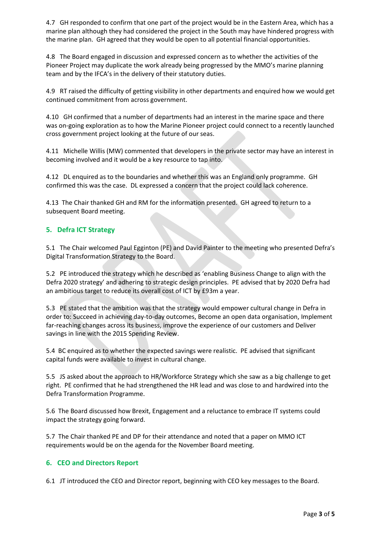4.7 GH responded to confirm that one part of the project would be in the Eastern Area, which has a marine plan although they had considered the project in the South may have hindered progress with the marine plan. GH agreed that they would be open to all potential financial opportunities.

4.8 The Board engaged in discussion and expressed concern as to whether the activities of the Pioneer Project may duplicate the work already being progressed by the MMO's marine planning team and by the IFCA's in the delivery of their statutory duties.

4.9 RT raised the difficulty of getting visibility in other departments and enquired how we would get continued commitment from across government.

4.10 GH confirmed that a number of departments had an interest in the marine space and there was on-going exploration as to how the Marine Pioneer project could connect to a recently launched cross government project looking at the future of our seas.

4.11 Michelle Willis (MW) commented that developers in the private sector may have an interest in becoming involved and it would be a key resource to tap into.

4.12 DL enquired as to the boundaries and whether this was an England only programme. GH confirmed this was the case. DL expressed a concern that the project could lack coherence.

4.13 The Chair thanked GH and RM for the information presented. GH agreed to return to a subsequent Board meeting.

# **5. Defra ICT Strategy**

5.1 The Chair welcomed Paul Egginton (PE) and David Painter to the meeting who presented Defra's Digital Transformation Strategy to the Board.

5.2 PE introduced the strategy which he described as 'enabling Business Change to align with the Defra 2020 strategy' and adhering to strategic design principles. PE advised that by 2020 Defra had an ambitious target to reduce its overall cost of ICT by £93m a year.

5.3 PE stated that the ambition was that the strategy would empower cultural change in Defra in order to: Succeed in achieving day-to-day outcomes, Become an open data organisation, Implement far-reaching changes across its business, improve the experience of our customers and Deliver savings in line with the 2015 Spending Review.

5.4 BC enquired as to whether the expected savings were realistic. PE advised that significant capital funds were available to invest in cultural change.

5.5 JS asked about the approach to HR/Workforce Strategy which she saw as a big challenge to get right. PE confirmed that he had strengthened the HR lead and was close to and hardwired into the Defra Transformation Programme.

5.6 The Board discussed how Brexit, Engagement and a reluctance to embrace IT systems could impact the strategy going forward.

5.7 The Chair thanked PE and DP for their attendance and noted that a paper on MMO ICT requirements would be on the agenda for the November Board meeting.

## **6. CEO and Directors Report**

6.1 JT introduced the CEO and Director report, beginning with CEO key messages to the Board.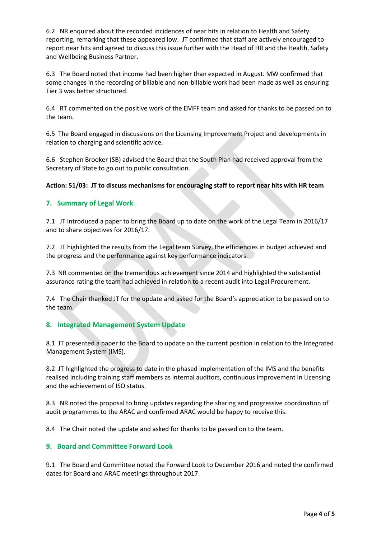6.2 NR enquired about the recorded incidences of near hits in relation to Health and Safety reporting, remarking that these appeared low. JT confirmed that staff are actively encouraged to report near hits and agreed to discuss this issue further with the Head of HR and the Health, Safety and Wellbeing Business Partner.

6.3 The Board noted that income had been higher than expected in August. MW confirmed that some changes in the recording of billable and non-billable work had been made as well as ensuring Tier 3 was better structured.

6.4 RT commented on the positive work of the EMFF team and asked for thanks to be passed on to the team.

6.5 The Board engaged in discussions on the Licensing Improvement Project and developments in relation to charging and scientific advice.

6.6 Stephen Brooker (SB) advised the Board that the South Plan had received approval from the Secretary of State to go out to public consultation.

#### **Action: 51/03: JT to discuss mechanisms for encouraging staff to report near hits with HR team**

## **7. Summary of Legal Work**

7.1 JT introduced a paper to bring the Board up to date on the work of the Legal Team in 2016/17 and to share objectives for 2016/17.

7.2 JT highlighted the results from the Legal team Survey, the efficiencies in budget achieved and the progress and the performance against key performance indicators.

7.3 NR commented on the tremendous achievement since 2014 and highlighted the substantial assurance rating the team had achieved in relation to a recent audit into Legal Procurement.

7.4 The Chair thanked JT for the update and asked for the Board's appreciation to be passed on to the team.

#### **8. Integrated Management System Update**

8.1 JT presented a paper to the Board to update on the current position in relation to the Integrated Management System (IMS).

8.2 JT highlighted the progress to date in the phased implementation of the IMS and the benefits realised including training staff members as internal auditors, continuous improvement in Licensing and the achievement of ISO status.

8.3 NR noted the proposal to bring updates regarding the sharing and progressive coordination of audit programmes to the ARAC and confirmed ARAC would be happy to receive this.

8.4 The Chair noted the update and asked for thanks to be passed on to the team.

## **9. Board and Committee Forward Look**

9.1 The Board and Committee noted the Forward Look to December 2016 and noted the confirmed dates for Board and ARAC meetings throughout 2017.